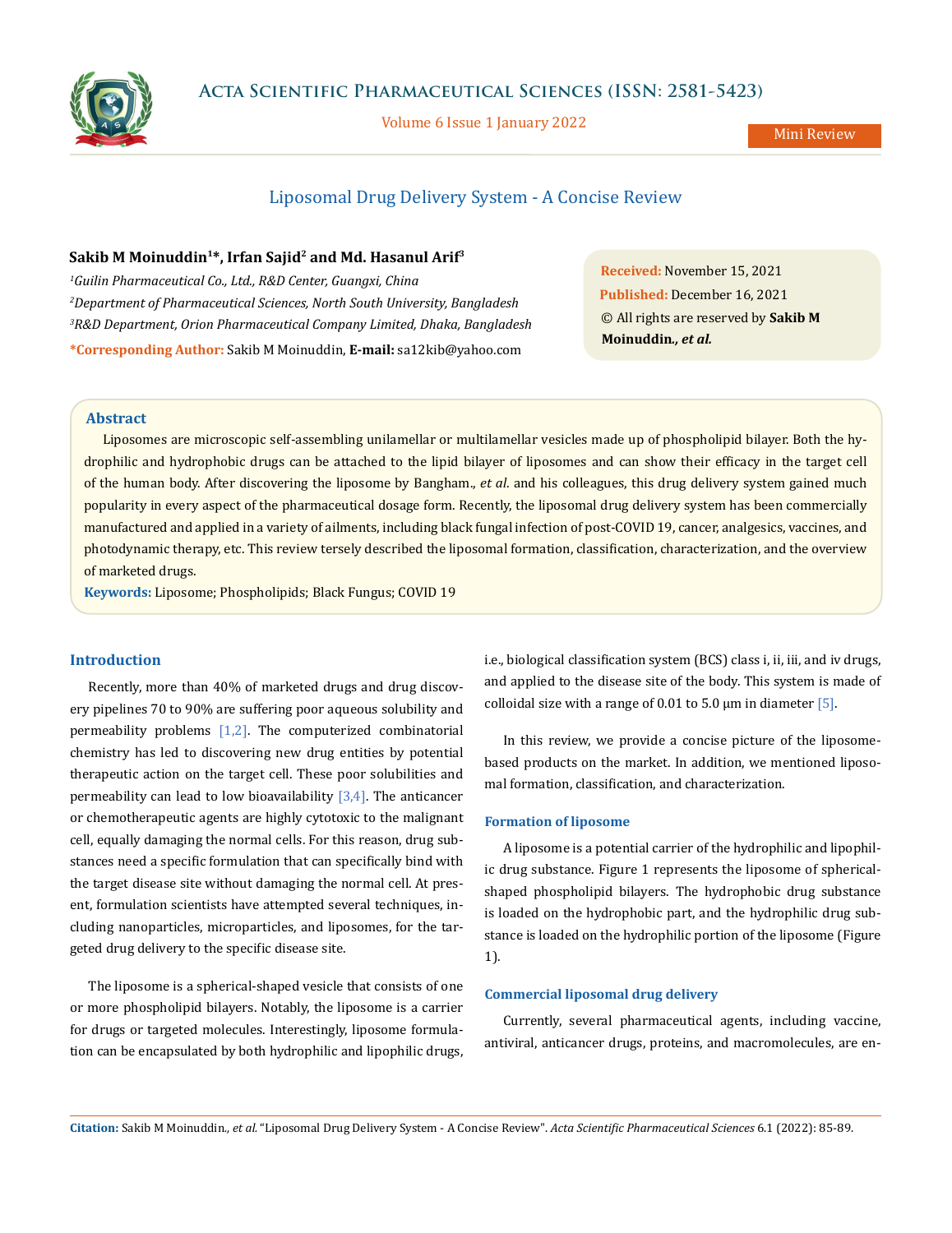

Volume 6 Issue 1 January 2022

# Liposomal Drug Delivery System - A Concise Review

# **Sakib M Moinuddin1\*, Irfan Sajid2 and Md. Hasanul Arif3**

 *Guilin Pharmaceutical Co., Ltd., R&D Center, Guangxi, China Department of Pharmaceutical Sciences, North South University, Bangladesh R&D Department, Orion Pharmaceutical Company Limited, Dhaka, Bangladesh* **\*Corresponding Author:** Sakib M Moinuddin, **E-mail:** [sa12kib@yahoo.com](mailto:sa12kib%40yahoo.com?subject=)

**Received:** November 15, 2021 **Published:** December 16, 2021 © All rights are reserved by **Sakib M Moinuddin***., et al.*

### **Abstract**

Liposomes are microscopic self-assembling unilamellar or multilamellar vesicles made up of phospholipid bilayer. Both the hydrophilic and hydrophobic drugs can be attached to the lipid bilayer of liposomes and can show their efficacy in the target cell of the human body. After discovering the liposome by Bangham., *et al*. and his colleagues, this drug delivery system gained much popularity in every aspect of the pharmaceutical dosage form. Recently, the liposomal drug delivery system has been commercially manufactured and applied in a variety of ailments, including black fungal infection of post-COVID 19, cancer, analgesics, vaccines, and photodynamic therapy, etc. This review tersely described the liposomal formation, classification, characterization, and the overview of marketed drugs.

**Keywords:** Liposome; Phospholipids; Black Fungus; COVID 19

### **Introduction**

Recently, more than 40% of marketed drugs and drug discovery pipelines 70 to 90% are suffering poor aqueous solubility and permeability problems [1,2]. The computerized combinatorial chemistry has led to discovering new drug entities by potential therapeutic action on the target cell. These poor solubilities and permeability can lead to low bioavailability  $[3,4]$ . The anticancer or chemotherapeutic agents are highly cytotoxic to the malignant cell, equally damaging the normal cells. For this reason, drug substances need a specific formulation that can specifically bind with the target disease site without damaging the normal cell. At present, formulation scientists have attempted several techniques, including nanoparticles, microparticles, and liposomes, for the targeted drug delivery to the specific disease site.

The liposome is a spherical-shaped vesicle that consists of one or more phospholipid bilayers. Notably, the liposome is a carrier for drugs or targeted molecules. Interestingly, liposome formulation can be encapsulated by both hydrophilic and lipophilic drugs,

i.e., biological classification system (BCS) class i, ii, iii, and iv drugs, and applied to the disease site of the body. This system is made of colloidal size with a range of 0.01 to 5.0  $\mu$ m in diameter [5].

In this review, we provide a concise picture of the liposomebased products on the market. In addition, we mentioned liposomal formation, classification, and characterization.

### **Formation of liposome**

A liposome is a potential carrier of the hydrophilic and lipophilic drug substance. Figure 1 represents the liposome of sphericalshaped phospholipid bilayers. The hydrophobic drug substance is loaded on the hydrophobic part, and the hydrophilic drug substance is loaded on the hydrophilic portion of the liposome (Figure 1).

### **Commercial liposomal drug delivery**

Currently, several pharmaceutical agents, including vaccine, antiviral, anticancer drugs, proteins, and macromolecules, are en-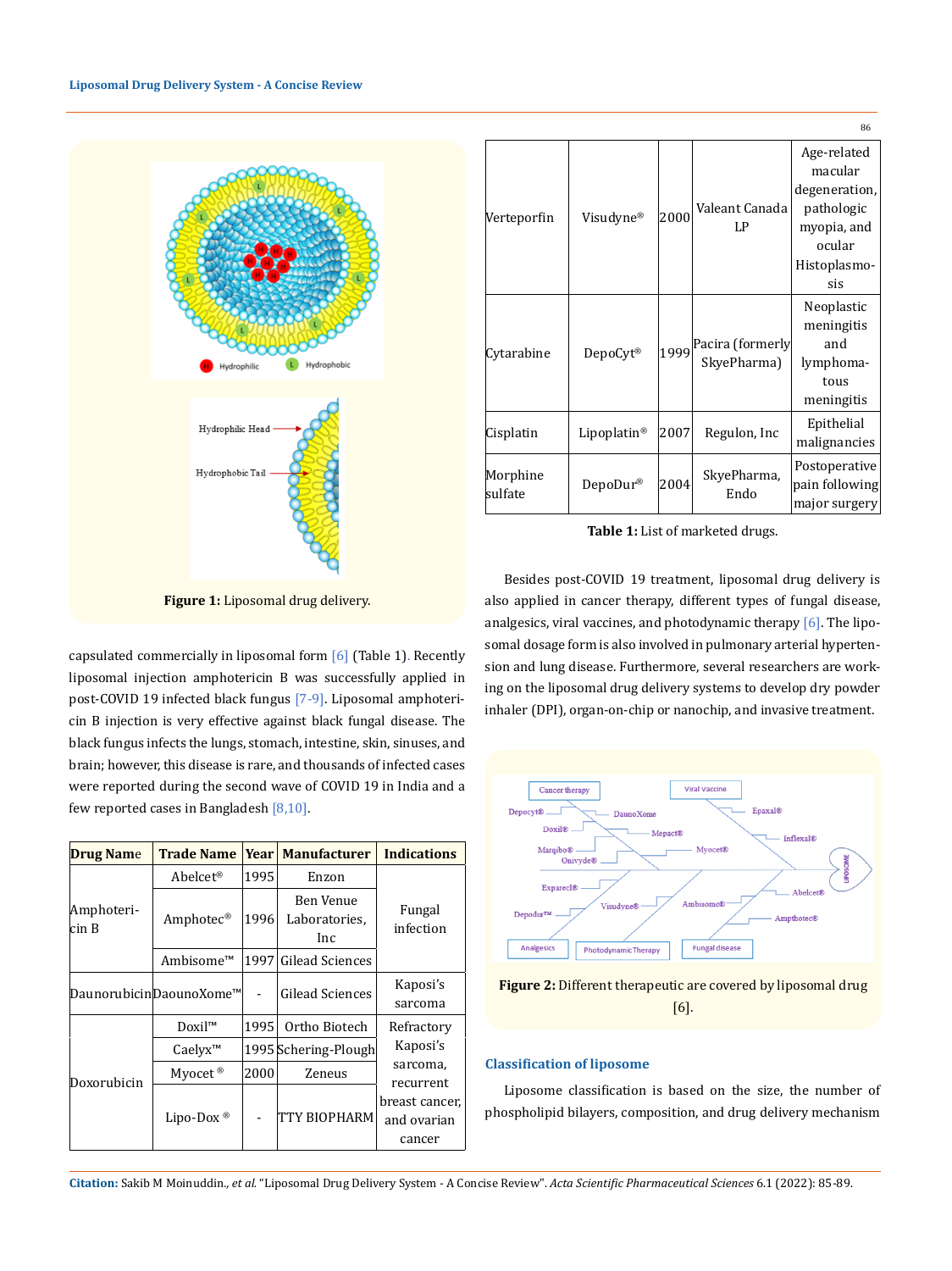

Verteporfin Visudyne®  $|2000|$ Valeant Canada LP Age-related macular degeneration, pathologic myopia, and ocular Histoplasmosis  $\vert$ Cytarabine DepoCyt® 1999 Pacira (formerly SkyePharma) Neoplastic meningitis and lymphomatous meningitis  $\begin{array}{|c|c|c|c|c|c|c|c|}\hline \text{Cisplatin} & \text{Lipoplation} & \text{2007} & \text{Regulon, Inc} & \text{Epithelial} \hline \end{array}$ malignancies Morphine Morphine DepoDur® 2004 SkyePharma, Endo Postoperative pain following 86

**Table 1:** List of marketed drugs.

Besides post-COVID 19 treatment, liposomal drug delivery is also applied in cancer therapy, different types of fungal disease, analgesics, viral vaccines, and photodynamic therapy [6]. The liposomal dosage form is also involved in pulmonary arterial hyperten-

major surgery

**Figure 1:** Liposomal drug delivery.

capsulated commercially in liposomal form  $[6]$  (Table 1). Recently liposomal injection amphotericin B was successfully applied in post-COVID 19 infected black fungus [7-9]. Liposomal amphotericin B injection is very effective against black fungal disease. The black fungus infects the lungs, stomach, intestine, skin, sinuses, and brain; however, this disease is rare, and thousands of infected cases were reported during the second wave of COVID 19 in India and a few reported cases in Bangladesh [8,10].

| <b>Drug Name</b>    | <b>Trade Name</b>       | <b>Year</b> | <b>Manufacturer</b>               | <b>Indications</b>                      |  |
|---------------------|-------------------------|-------------|-----------------------------------|-----------------------------------------|--|
| Amphoteri-<br>cin B | Abelcet <sup>®</sup>    | 1995        | Enzon                             |                                         |  |
|                     | Amphotec <sup>®</sup>   | 1996        | Ben Venue<br>Laboratories,<br>Inc | Fungal<br>infection                     |  |
|                     | Ambisome™               |             | 1997 Gilead Sciences              |                                         |  |
|                     | DaunorubicinDaounoXome™ |             | Gilead Sciences                   | Kaposi's<br>sarcoma                     |  |
| Doxorubicin         | $DoxiI^m$               | 1995        | Ortho Biotech                     | Refractory                              |  |
|                     | Caelvx <sup>TM</sup>    |             | 1995 Schering-Plough              | Kaposi's                                |  |
|                     | Myocet <sup>®</sup>     | 2000        | Zeneus                            | sarcoma,<br>recurrent                   |  |
|                     | Lipo-Dox $^{\circledR}$ |             | TTY BIOPHARM                      | breast cancer,<br>and ovarian<br>cancer |  |





### **Classification of liposome**

Liposome classification is based on the size, the number of phospholipid bilayers, composition, and drug delivery mechanism

**Citation:** Sakib M Moinuddin*., et al.* "Liposomal Drug Delivery System - A Concise Review". *Acta Scientific Pharmaceutical Sciences* 6.1 (2022): 85-89.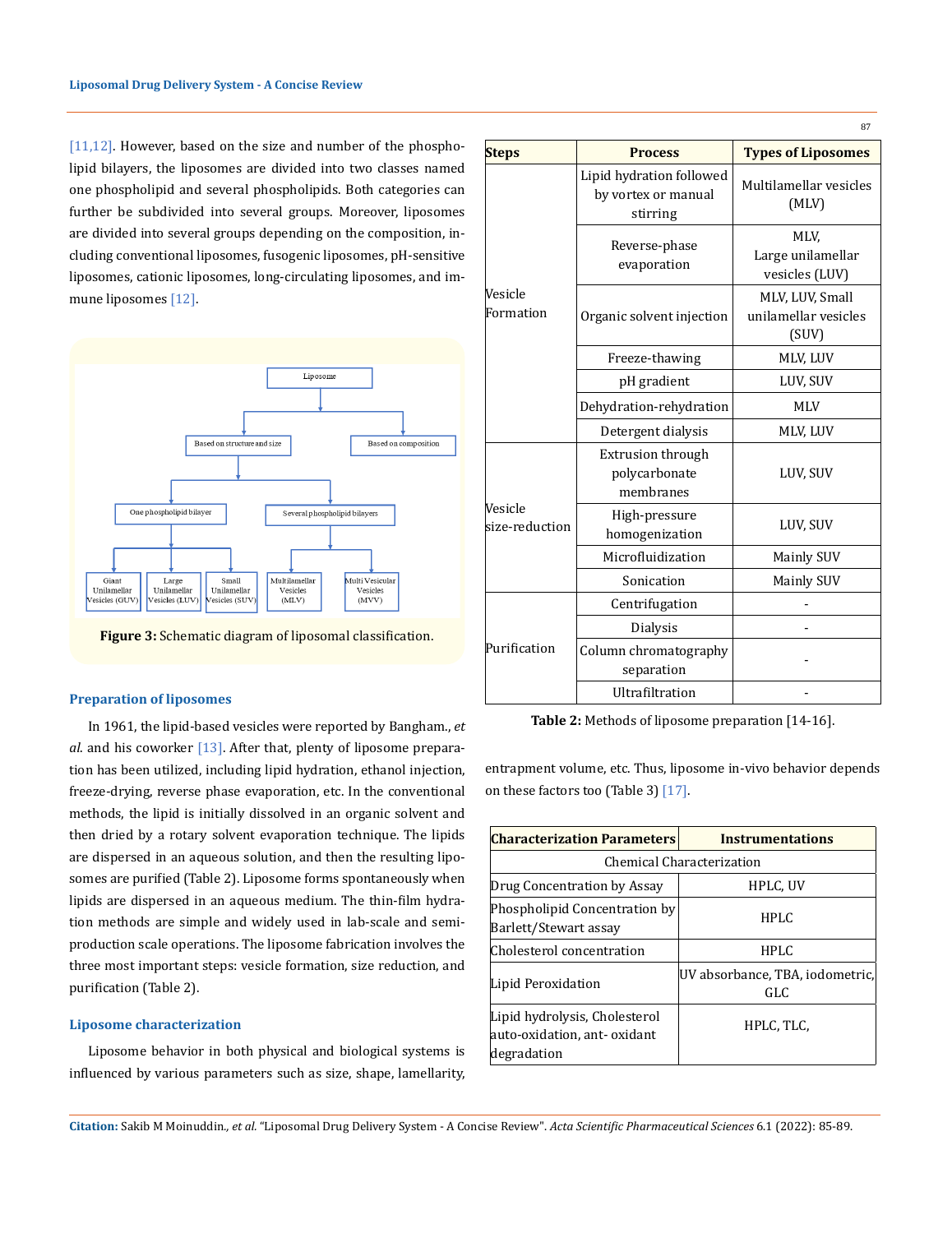[11,12]. However, based on the size and number of the phospholipid bilayers, the liposomes are divided into two classes named one phospholipid and several phospholipids. Both categories can further be subdivided into several groups. Moreover, liposomes are divided into several groups depending on the composition, including conventional liposomes, fusogenic liposomes, pH-sensitive liposomes, cationic liposomes, long-circulating liposomes, and immune liposomes [12].



**Figure 3:** Schematic diagram of liposomal classification.

#### **Preparation of liposomes**

In 1961, the lipid-based vesicles were reported by Bangham., *et al*. and his coworker [13]. After that, plenty of liposome preparation has been utilized, including lipid hydration, ethanol injection, freeze-drying, reverse phase evaporation, etc. In the conventional methods, the lipid is initially dissolved in an organic solvent and then dried by a rotary solvent evaporation technique. The lipids are dispersed in an aqueous solution, and then the resulting liposomes are purified (Table 2). Liposome forms spontaneously when lipids are dispersed in an aqueous medium. The thin-film hydration methods are simple and widely used in lab-scale and semiproduction scale operations. The liposome fabrication involves the three most important steps: vesicle formation, size reduction, and purification (Table 2).

### **Liposome characterization**

Liposome behavior in both physical and biological systems is influenced by various parameters such as size, shape, lamellarity,

| <b>Steps</b>              | <b>Process</b>                                              | <b>Types of Liposomes</b>                        |
|---------------------------|-------------------------------------------------------------|--------------------------------------------------|
| Vesicle<br>Formation      | Lipid hydration followed<br>by vortex or manual<br>stirring | Multilamellar vesicles<br>(MLV)                  |
|                           | Reverse-phase<br>evaporation                                | MLV.<br>Large unilamellar<br>vesicles (LUV)      |
|                           | Organic solvent injection                                   | MLV, LUV, Small<br>unilamellar vesicles<br>(SUV) |
|                           | Freeze-thawing                                              | MLV, LUV                                         |
|                           | pH gradient                                                 | LUV, SUV                                         |
|                           | Dehydration-rehydration                                     | <b>MLV</b>                                       |
|                           | Detergent dialysis                                          | MLV, LUV                                         |
| Vesicle<br>size-reduction | <b>Extrusion through</b><br>polycarbonate<br>membranes      | LUV, SUV                                         |
|                           | High-pressure<br>homogenization                             | LUV, SUV                                         |
|                           | Microfluidization                                           | <b>Mainly SUV</b>                                |
|                           | Sonication                                                  | <b>Mainly SUV</b>                                |
| Purification              | Centrifugation                                              |                                                  |
|                           | <b>Dialysis</b>                                             |                                                  |
|                           | Column chromatography<br>separation                         |                                                  |
|                           | Ultrafiltration                                             |                                                  |

**87** 

**Table 2:** Methods of liposome preparation [14-16].

entrapment volume, etc. Thus, liposome in-vivo behavior depends on these factors too (Table 3) [17].

| <b>Characterization Parameters</b>                                           | <b>Instrumentations</b>                |  |  |  |
|------------------------------------------------------------------------------|----------------------------------------|--|--|--|
| Chemical Characterization                                                    |                                        |  |  |  |
| Drug Concentration by Assay                                                  | HPLC, UV                               |  |  |  |
| Phospholipid Concentration by<br>Barlett/Stewart assay                       | <b>HPLC</b>                            |  |  |  |
| Cholesterol concentration                                                    | <b>HPLC</b>                            |  |  |  |
| Lipid Peroxidation                                                           | UV absorbance, TBA, iodometric,<br>GLC |  |  |  |
| Lipid hydrolysis, Cholesterol<br>auto-oxidation, ant- oxidant<br>degradation | HPLC, TLC,                             |  |  |  |

**Citation:** Sakib M Moinuddin*., et al.* "Liposomal Drug Delivery System - A Concise Review". *Acta Scientific Pharmaceutical Sciences* 6.1 (2022): 85-89.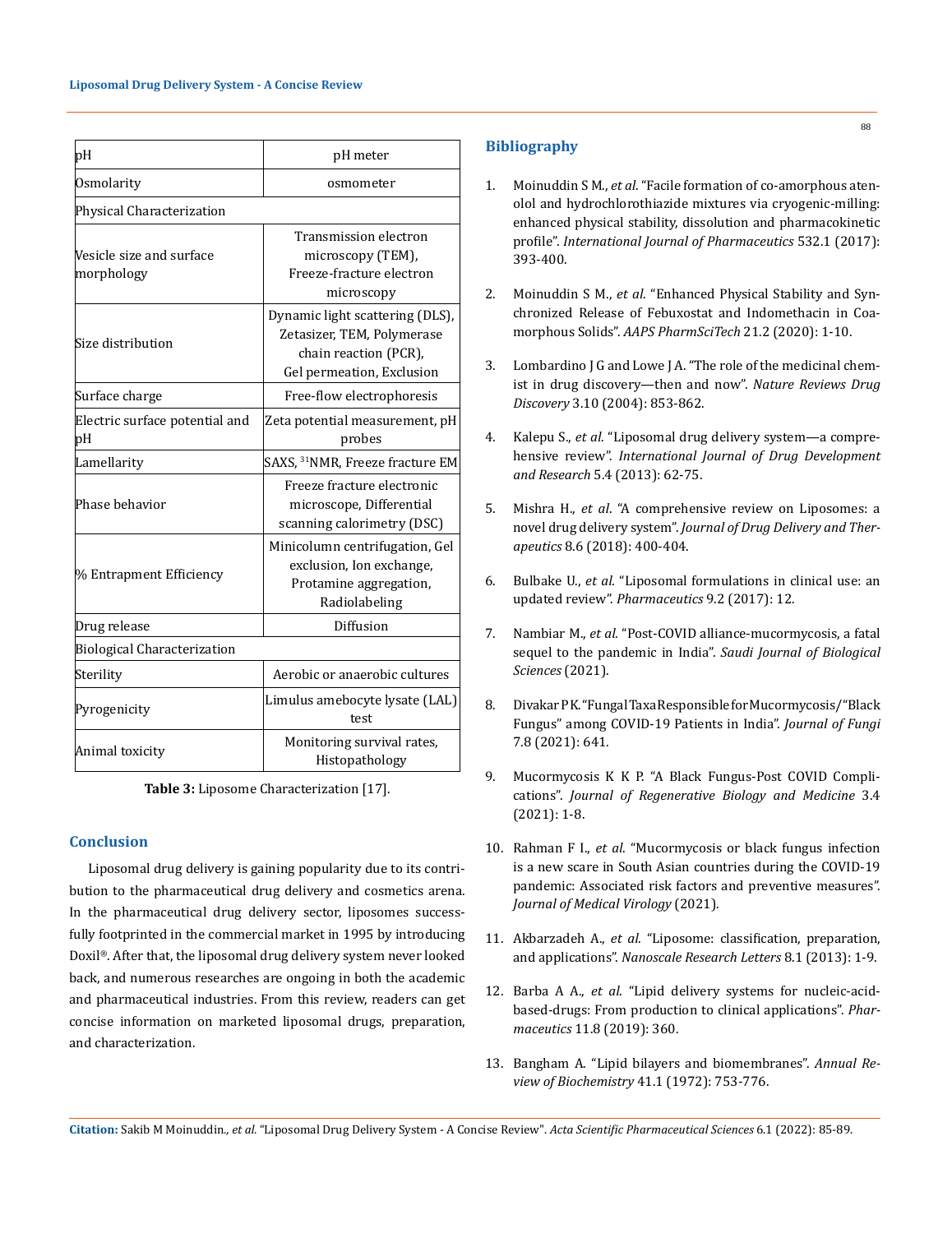| þН                                     | pH meter                                                                                                            |  |  |  |
|----------------------------------------|---------------------------------------------------------------------------------------------------------------------|--|--|--|
| Osmolarity                             | osmometer                                                                                                           |  |  |  |
| Physical Characterization              |                                                                                                                     |  |  |  |
| Vesicle size and surface<br>morphology | Transmission electron<br>microscopy (TEM),<br>Freeze-fracture electron<br>microscopy                                |  |  |  |
| Size distribution                      | Dynamic light scattering (DLS),<br>Zetasizer, TEM, Polymerase<br>chain reaction (PCR),<br>Gel permeation, Exclusion |  |  |  |
| Surface charge                         | Free-flow electrophoresis                                                                                           |  |  |  |
| Electric surface potential and<br>þН   | Zeta potential measurement, pH<br>probes                                                                            |  |  |  |
| Lamellarity                            | SAXS, <sup>31</sup> NMR, Freeze fracture EM                                                                         |  |  |  |
| Phase behavior                         | Freeze fracture electronic<br>microscope, Differential<br>scanning calorimetry (DSC)                                |  |  |  |
| % Entrapment Efficiency                | Minicolumn centrifugation, Gel<br>exclusion, Ion exchange,<br>Protamine aggregation,<br>Radiolabeling               |  |  |  |
| Drug release                           | Diffusion                                                                                                           |  |  |  |
| <b>Biological Characterization</b>     |                                                                                                                     |  |  |  |
| Sterility                              | Aerobic or anaerobic cultures                                                                                       |  |  |  |
| Pyrogenicity                           | Limulus amebocyte lysate (LAL)<br>test                                                                              |  |  |  |
| Animal toxicity                        | Monitoring survival rates,<br>Histopathology                                                                        |  |  |  |

**Table 3:** Liposome Characterization [17].

### **Conclusion**

Liposomal drug delivery is gaining popularity due to its contribution to the pharmaceutical drug delivery and cosmetics arena. In the pharmaceutical drug delivery sector, liposomes successfully footprinted in the commercial market in 1995 by introducing Doxil®. After that, the liposomal drug delivery system never looked back, and numerous researches are ongoing in both the academic and pharmaceutical industries. From this review, readers can get concise information on marketed liposomal drugs, preparation, and characterization.

# **Bibliography**

- 1. Moinuddin S M., *et al*[. "Facile formation of co-amorphous aten](https://pubmed.ncbi.nlm.nih.gov/28893583/)[olol and hydrochlorothiazide mixtures via cryogenic-milling:](https://pubmed.ncbi.nlm.nih.gov/28893583/)  [enhanced physical stability, dissolution and pharmacokinetic](https://pubmed.ncbi.nlm.nih.gov/28893583/)  profile". *[International Journal of Pharmaceutics](https://pubmed.ncbi.nlm.nih.gov/28893583/)* 532.1 (2017): [393-400.](https://pubmed.ncbi.nlm.nih.gov/28893583/)
- 2. Moinuddin S M., *et al*[. "Enhanced Physical Stability and Syn](https://pubmed.ncbi.nlm.nih.gov/31898765/)[chronized Release of Febuxostat and Indomethacin in Coa](https://pubmed.ncbi.nlm.nih.gov/31898765/)morphous Solids". *[AAPS PharmSciTech](https://pubmed.ncbi.nlm.nih.gov/31898765/)* 21.2 (2020): 1-10.
- 3. [Lombardino J G and Lowe J A. "The role of the medicinal chem](https://www.nature.com/articles/nrd1523)[ist in drug discovery—then and now".](https://www.nature.com/articles/nrd1523) *Nature Reviews Drug Discovery* [3.10 \(2004\): 853-862.](https://www.nature.com/articles/nrd1523)
- 4. Kalepu S., *et al*[. "Liposomal drug delivery system—a compre](https://www.researchgate.net/publication/264893924_Liposomal_drug_delivery_system_-_A_Comprehensive_Review)hensive review". *[International Journal of Drug Development](https://www.researchgate.net/publication/264893924_Liposomal_drug_delivery_system_-_A_Comprehensive_Review)  and Research* [5.4 \(2013\): 62-75.](https://www.researchgate.net/publication/264893924_Liposomal_drug_delivery_system_-_A_Comprehensive_Review)
- 5. Mishra H., *et al*[. "A comprehensive review on Liposomes: a](http://jddtonline.info/index.php/jddt/article/view/2071)  novel drug delivery system". *[Journal of Drug Delivery and Ther](http://jddtonline.info/index.php/jddt/article/view/2071)apeutics* [8.6 \(2018\): 400-404.](http://jddtonline.info/index.php/jddt/article/view/2071)
- 6. Bulbake U., *et al*[. "Liposomal formulations in clinical use: an](https://pubmed.ncbi.nlm.nih.gov/28346375/)  [updated review".](https://pubmed.ncbi.nlm.nih.gov/28346375/) *Pharmaceutics* 9.2 (2017): 12.
- 7. Nambiar M., *et al*[. "Post-COVID alliance-mucormycosis, a fatal](https://www.sciencedirect.com/science/article/pii/S1319562X21005775)  [sequel to the pandemic in India".](https://www.sciencedirect.com/science/article/pii/S1319562X21005775) *Saudi Journal of Biological [Sciences](https://www.sciencedirect.com/science/article/pii/S1319562X21005775)* (2021).
- 8. [Divakar P K. "Fungal Taxa Responsible for Mucormycosis/"Black](https://www.mdpi.com/2309-608X/7/8/641)  [Fungus" among COVID-19 Patients in India".](https://www.mdpi.com/2309-608X/7/8/641) *Journal of Fungi* [7.8 \(2021\): 641.](https://www.mdpi.com/2309-608X/7/8/641)
- 9. Mucormycosis K K P. "A Black Fungus-Post COVID Complications". *Journal of Regenerative Biology and Medicine* 3.4 (2021): 1-8.
- 10. Rahman F I., *et al*[. "Mucormycosis or black fungus infection](https://onlinelibrary.wiley.com/doi/10.1002/jmv.27207)  [is a new scare in South Asian countries during the COVID-19](https://onlinelibrary.wiley.com/doi/10.1002/jmv.27207)  [pandemic: Associated risk factors and preventive measures".](https://onlinelibrary.wiley.com/doi/10.1002/jmv.27207)  *[Journal of Medical Virology](https://onlinelibrary.wiley.com/doi/10.1002/jmv.27207)* (2021).
- 11. Akbarzadeh A., *et al*[. "Liposome: classification, preparation,](https://nanoscalereslett.springeropen.com/articles/10.1186/1556-276X-8-102)  and applications". *[Nanoscale Research Letters](https://nanoscalereslett.springeropen.com/articles/10.1186/1556-276X-8-102)* 8.1 (2013): 1-9.
- 12. Barba A A., *et al*[. "Lipid delivery systems for nucleic-acid](https://pubmed.ncbi.nlm.nih.gov/31344836/)[based-drugs: From production to clinical applications".](https://pubmed.ncbi.nlm.nih.gov/31344836/) *Pharmaceutics* [11.8 \(2019\): 360.](https://pubmed.ncbi.nlm.nih.gov/31344836/)
- 13. [Bangham A. "Lipid bilayers and biomembranes".](https://pubmed.ncbi.nlm.nih.gov/4563442/) *Annual Review of Biochemistry* [41.1 \(1972\): 753-776.](https://pubmed.ncbi.nlm.nih.gov/4563442/)